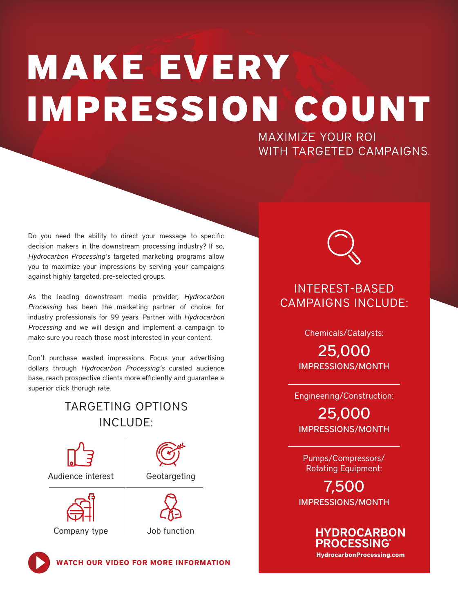# **MAKE EVERY IMPRESSION COUNT**

**MAXIMIZE YOUR ROI** WITH TARGETED CAMPAIGNS.

Do you need the ability to direct your message to specific decision makers in the downstream processing industry? If so, *Hydrocarbon Processing's* targeted marketing programs allow you to maximize your impressions by serving your campaigns against highly targeted, pre-selected groups.

As the leading downstream media provider, *Hydrocarbon Processing* has been the marketing partner of choice for industry professionals for 99 years. Partner with *Hydrocarbon Processing* and we will design and implement a campaign to make sure you reach those most interested in your content.

Don't purchase wasted impressions. Focus your advertising dollars through *Hydrocarbon Processing's* curated audience base, reach prospective clients more efficiently and guarantee a superior click thorugh rate.

## TARGETING OPTIONS INCLUDE:



### INTEREST-BASED CAMPAIGNS INCLUDE:

Chemicals/Catalysts:

25,000 IMPRESSIONS/MONTH

Engineering/Construction:

25,000 IMPRESSIONS/MONTH

Pumps/Compressors/ Rotating Equipment:

7,500 IMPRESSIONS/MONTH

> **HYDROCARBON PROCESSING HydrocarbonProcessing.com**

**[WATCH OUR VIDEO FOR MORE INFORMATION](https://youtu.be/Ko9Td-MVdlk)**